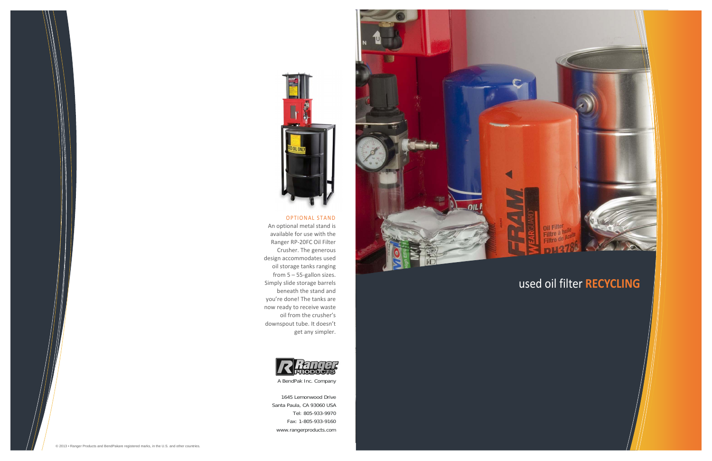## used oil filter **RECYCLING**





#### OPTIONAL STAND

An optional metal stand is available for use with the Ranger RP‐20FC Oil Filter Crusher. The generous design accommodates used oil storage tanks ranging from 5 – 55‐gallon sizes. Simply slide storage barrels beneath the stand and you're done! The tanks are now ready to receive waste oil from the crusher's downspout tube. It doesn't get any simpler.



A BendPak Inc. Company

1645 Lemonwood Drive Santa Paula, CA 93060 USA Tel: 805-933-9970 Fax: 1-805-933-9160 www.rangerproducts.com